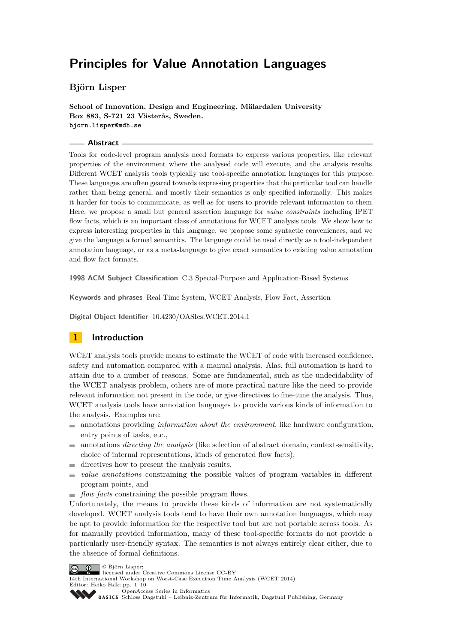**Björn Lisper**

**School of Innovation, Design and Engineering, Mälardalen University Box 883, S-721 23 Västerås, Sweden. bjorn.lisper@mdh.se**

### **Abstract**

Tools for code-level program analysis need formats to express various properties, like relevant properties of the environment where the analysed code will execute, and the analysis results. Different WCET analysis tools typically use tool-specific annotation languages for this purpose. These languages are often geared towards expressing properties that the particular tool can handle rather than being general, and mostly their semantics is only specified informally. This makes it harder for tools to communicate, as well as for users to provide relevant information to them. Here, we propose a small but general assertion language for *value constraints* including IPET flow facts, which is an important class of annotations for WCET analysis tools. We show how to express interesting properties in this language, we propose some syntactic conveniences, and we give the language a formal semantics. The language could be used directly as a tool-independent annotation language, or as a meta-language to give exact semantics to existing value annotation and flow fact formats.

**1998 ACM Subject Classification** C.3 Special-Purpose and Application-Based Systems

**Keywords and phrases** Real-Time System, WCET Analysis, Flow Fact, Assertion

**Digital Object Identifier** [10.4230/OASIcs.WCET.2014.1](http://dx.doi.org/10.4230/OASIcs.WCET.2014.1)

# **1 Introduction**

WCET analysis tools provide means to estimate the WCET of code with increased confidence, safety and automation compared with a manual analysis. Alas, full automation is hard to attain due to a number of reasons. Some are fundamental, such as the undecidability of the WCET analysis problem, others are of more practical nature like the need to provide relevant information not present in the code, or give directives to fine-tune the analysis. Thus, WCET analysis tools have annotation languages to provide various kinds of information to the analysis. Examples are:

- annotations providing *information about the environment*, like hardware configuration, entry points of tasks, etc.,
- annotations *directing the analysis* (like selection of abstract domain, context-sensitivity,  $\frac{1}{2}$ choice of internal representations, kinds of generated flow facts),
- $\blacksquare$  directives how to present the analysis results,
- *value annotations* constraining the possible values of program variables in different program points, and
- *flow facts* constraining the possible program flows.

Unfortunately, the means to provide these kinds of information are not systematically developed. WCET analysis tools tend to have their own annotation languages, which may be apt to provide information for the respective tool but are not portable across tools. As for manually provided information, many of these tool-specific formats do not provide a particularly user-friendly syntax. The semantics is not always entirely clear either, due to the absence of formal definitions.





14th International Workshop on Worst-Case Execution Time Analysis (WCET 2014). Editor: Heiko Falk; pp. 1[–10](#page-9-0)

[OpenAccess Series in Informatics](http://www.dagstuhl.de/oasics/)

[Schloss Dagstuhl – Leibniz-Zentrum für Informatik, Dagstuhl Publishing, Germany](http://www.dagstuhl.de/)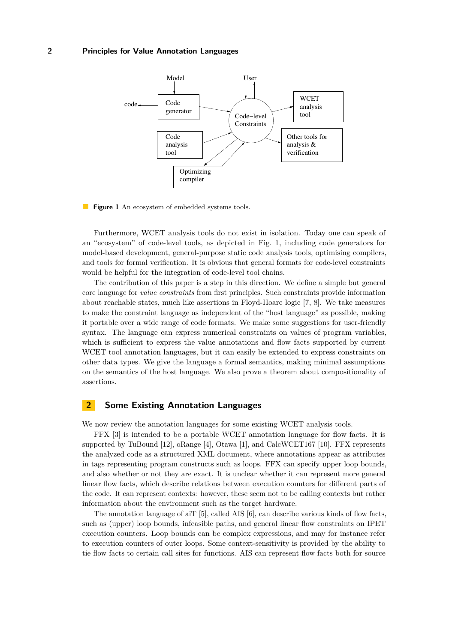<span id="page-1-0"></span>

**Figure 1** An ecosystem of embedded systems tools.

Furthermore, WCET analysis tools do not exist in isolation. Today one can speak of an "ecosystem" of code-level tools, as depicted in Fig. [1,](#page-1-0) including code generators for model-based development, general-purpose static code analysis tools, optimising compilers, and tools for formal verification. It is obvious that general formats for code-level constraints would be helpful for the integration of code-level tool chains.

The contribution of this paper is a step in this direction. We define a simple but general core language for *value constraints* from first principles. Such constraints provide information about reachable states, much like assertions in Floyd-Hoare logic [\[7,](#page-9-1) [8\]](#page-9-2). We take measures to make the constraint language as independent of the "host language" as possible, making it portable over a wide range of code formats. We make some suggestions for user-friendly syntax. The language can express numerical constraints on values of program variables, which is sufficient to express the value annotations and flow facts supported by current WCET tool annotation languages, but it can easily be extended to express constraints on other data types. We give the language a formal semantics, making minimal assumptions on the semantics of the host language. We also prove a theorem about compositionality of assertions.

## <span id="page-1-1"></span>**2 Some Existing Annotation Languages**

We now review the annotation languages for some existing WCET analysis tools.

FFX [\[3\]](#page-9-3) is intended to be a portable WCET annotation language for flow facts. It is supported by TuBound [\[12\]](#page-9-4), oRange [\[4\]](#page-9-5), Otawa [\[1\]](#page-8-0), and CalcWCET167 [\[10\]](#page-9-6). FFX represents the analyzed code as a structured XML document, where annotations appear as attributes in tags representing program constructs such as loops. FFX can specify upper loop bounds, and also whether or not they are exact. It is unclear whether it can represent more general linear flow facts, which describe relations between execution counters for different parts of the code. It can represent contexts: however, these seem not to be calling contexts but rather information about the environment such as the target hardware.

The annotation language of aiT  $[5]$ , called AIS  $[6]$ , can describe various kinds of flow facts, such as (upper) loop bounds, infeasible paths, and general linear flow constraints on IPET execution counters. Loop bounds can be complex expressions, and may for instance refer to execution counters of outer loops. Some context-sensitivity is provided by the ability to tie flow facts to certain call sites for functions. AIS can represent flow facts both for source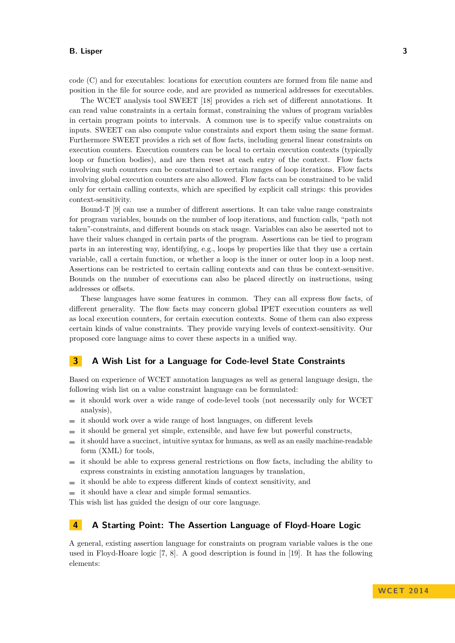code (C) and for executables: locations for execution counters are formed from file name and position in the file for source code, and are provided as numerical addresses for executables.

The WCET analysis tool SWEET [\[18\]](#page-9-9) provides a rich set of different annotations. It can read value constraints in a certain format, constraining the values of program variables in certain program points to intervals. A common use is to specify value constraints on inputs. SWEET can also compute value constraints and export them using the same format. Furthermore SWEET provides a rich set of flow facts, including general linear constraints on execution counters. Execution counters can be local to certain execution contexts (typically loop or function bodies), and are then reset at each entry of the context. Flow facts involving such counters can be constrained to certain ranges of loop iterations. Flow facts involving global execution counters are also allowed. Flow facts can be constrained to be valid only for certain calling contexts, which are specified by explicit call strings: this provides context-sensitivity.

Bound-T [\[9\]](#page-9-10) can use a number of different assertions. It can take value range constraints for program variables, bounds on the number of loop iterations, and function calls, "path not taken"-constraints, and different bounds on stack usage. Variables can also be asserted not to have their values changed in certain parts of the program. Assertions can be tied to program parts in an interesting way, identifying, e.g., loops by properties like that they use a certain variable, call a certain function, or whether a loop is the inner or outer loop in a loop nest. Assertions can be restricted to certain calling contexts and can thus be context-sensitive. Bounds on the number of executions can also be placed directly on instructions, using addresses or offsets.

These languages have some features in common. They can all express flow facts, of different generality. The flow facts may concern global IPET execution counters as well as local execution counters, for certain execution contexts. Some of them can also express certain kinds of value constraints. They provide varying levels of context-sensitivity. Our proposed core language aims to cover these aspects in a unified way.

# **3 A Wish List for a Language for Code-level State Constraints**

Based on experience of WCET annotation languages as well as general language design, the following wish list on a value constraint language can be formulated:

- $\equiv$  it should work over a wide range of code-level tools (not necessarily only for WCET analysis),
- it should work over a wide range of host languages, on different levels  $\sim$
- it should be general yet simple, extensible, and have few but powerful constructs,  $\sim$
- it should have a succinct, intuitive syntax for humans, as well as an easily machine-readable  $\rightarrow$ form (XML) for tools,
- it should be able to express general restrictions on flow facts, including the ability to  $\blacksquare$ express constraints in existing annotation languages by translation,
- $\equiv$  it should be able to express different kinds of context sensitivity, and
- $\equiv$  it should have a clear and simple formal semantics.

This wish list has guided the design of our core language.

# **4 A Starting Point: The Assertion Language of Floyd-Hoare Logic**

A general, existing assertion language for constraints on program variable values is the one used in Floyd-Hoare logic [\[7,](#page-9-1) [8\]](#page-9-2). A good description is found in [\[19\]](#page-9-11). It has the following elements: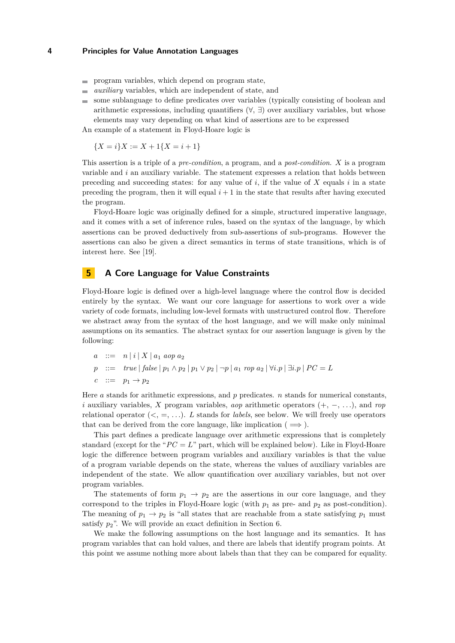- **program variables, which depend on program state,**
- *auxiliary* variables, which are independent of state, and  $\overline{\phantom{a}}$
- some sublanguage to define predicates over variables (typically consisting of boolean and ÷ arithmetic expressions, including quantifiers  $(\forall, \exists)$  over auxiliary variables, but whose elements may vary depending on what kind of assertions are to be expressed

An example of a statement in Floyd-Hoare logic is

 ${X = i}X := X + 1{X = i + 1}$ 

This assertion is a triple of a *pre-condition*, a program, and a *post-condition*. *X* is a program variable and *i* an auxiliary variable. The statement expresses a relation that holds between preceding and succeeding states: for any value of  $i$ , if the value of  $X$  equals  $i$  in a state preceding the program, then it will equal  $i + 1$  in the state that results after having executed the program.

Floyd-Hoare logic was originally defined for a simple, structured imperative language, and it comes with a set of inference rules, based on the syntax of the language, by which assertions can be proved deductively from sub-assertions of sub-programs. However the assertions can also be given a direct semantics in terms of state transitions, which is of interest here. See [\[19\]](#page-9-11).

# <span id="page-3-0"></span>**5 A Core Language for Value Constraints**

Floyd-Hoare logic is defined over a high-level language where the control flow is decided entirely by the syntax. We want our core language for assertions to work over a wide variety of code formats, including low-level formats with unstructured control flow. Therefore we abstract away from the syntax of the host language, and we will make only minimal assumptions on its semantics. The abstract syntax for our assertion language is given by the following:

$$
a ::= n | i | X | a_1 \text{ aop } a_2
$$
  
\n
$$
p ::= true | false | p_1 \wedge p_2 | p_1 \vee p_2 | \neg p | a_1 \text{ top } a_2 | \forall i.p | \exists i.p | PC = L
$$
  
\n
$$
c ::= p_1 \rightarrow p_2
$$

Here *a* stands for arithmetic expressions, and *p* predicates. *n* stands for numerical constants, *i* auxiliary variables, *X* program variables, *aop* arithmetic operators (+, −, *. . .*), and *rop* relational operator  $(<, =, \ldots)$ . *L* stands for *labels*, see below. We will freely use operators that can be derived from the core language, like implication ( $\implies$ ).

This part defines a predicate language over arithmetic expressions that is completely standard (except for the " $PC = L$ " part, which will be explained below). Like in Floyd-Hoare logic the difference between program variables and auxiliary variables is that the value of a program variable depends on the state, whereas the values of auxiliary variables are independent of the state. We allow quantification over auxiliary variables, but not over program variables.

The statements of form  $p_1 \rightarrow p_2$  are the assertions in our core language, and they correspond to the triples in Floyd-Hoare logic (with *p*<sup>1</sup> as pre- and *p*<sup>2</sup> as post-condition). The meaning of  $p_1 \rightarrow p_2$  is "all states that are reachable from a state satisfying  $p_1$  must satisfy  $p_2$ ". We will provide an exact definition in Section [6.](#page-6-0)

We make the following assumptions on the host language and its semantics. It has program variables that can hold values, and there are labels that identify program points. At this point we assume nothing more about labels than that they can be compared for equality.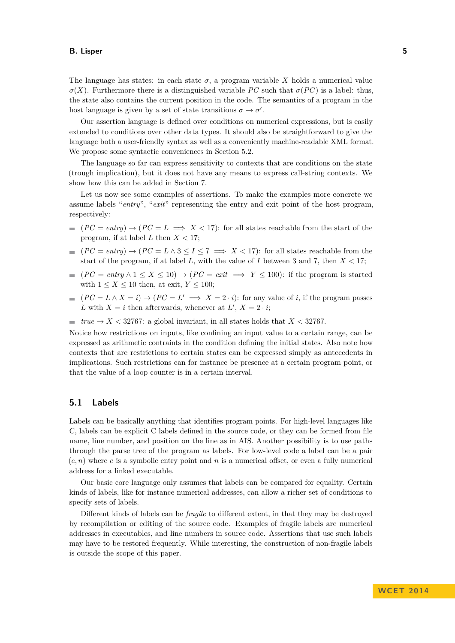The language has states: in each state  $\sigma$ , a program variable X holds a numerical value  $\sigma(X)$ . Furthermore there is a distinguished variable *PC* such that  $\sigma(PC)$  is a label: thus, the state also contains the current position in the code. The semantics of a program in the host language is given by a set of state transitions  $\sigma \to \sigma'$ .

Our assertion language is defined over conditions on numerical expressions, but is easily extended to conditions over other data types. It should also be straightforward to give the language both a user-friendly syntax as well as a conveniently machine-readable XML format. We propose some syntactic conveniences in Section [5.2.](#page-5-0)

The language so far can express sensitivity to contexts that are conditions on the state (trough implication), but it does not have any means to express call-string contexts. We show how this can be added in Section [7.](#page-7-0)

Let us now see some examples of assertions. To make the examples more concrete we assume labels "*entry*", "*exit*" representing the entry and exit point of the host program, respectively:

- $(PC = entry) \rightarrow (PC = L \implies X < 17)$ : for all states reachable from the start of the program, if at label  $L$  then  $X < 17$ ;
- $(PC = entry) \rightarrow (PC = L \land 3 \leq I \leq 7 \implies X < 17)$ : for all states reachable from the start of the program, if at label L, with the value of I between 3 and 7, then  $X < 17$ ;
- $(PC = entry \land 1 \le X \le 10) \rightarrow (PC = exit \implies Y \le 100)$ : if the program is started  $\rightarrow$ with  $1 \leq X \leq 10$  then, at exit,  $Y \leq 100$ ;
- $(PC = L \wedge X = i) \rightarrow (PC = L' \implies X = 2 \cdot i)$ : for any value of *i*, if the program passes *L* with  $X = i$  then afterwards, whenever at  $L'$ ,  $X = 2 \cdot i$ ;
- $true \rightarrow X < 32767$ : a global invariant, in all states holds that  $X < 32767$ .

Notice how restrictions on inputs, like confining an input value to a certain range, can be expressed as arithmetic contraints in the condition defining the initial states. Also note how contexts that are restrictions to certain states can be expressed simply as antecedents in implications. Such restrictions can for instance be presence at a certain program point, or that the value of a loop counter is in a certain interval.

## **5.1 Labels**

Labels can be basically anything that identifies program points. For high-level languages like C, labels can be explicit C labels defined in the source code, or they can be formed from file name, line number, and position on the line as in AIS. Another possibility is to use paths through the parse tree of the program as labels. For low-level code a label can be a pair  $(e, n)$  where  $e$  is a symbolic entry point and  $n$  is a numerical offset, or even a fully numerical address for a linked executable.

Our basic core language only assumes that labels can be compared for equality. Certain kinds of labels, like for instance numerical addresses, can allow a richer set of conditions to specify sets of labels.

Different kinds of labels can be *fragile* to different extent, in that they may be destroyed by recompilation or editing of the source code. Examples of fragile labels are numerical addresses in executables, and line numbers in source code. Assertions that use such labels may have to be restored frequently. While interesting, the construction of non-fragile labels is outside the scope of this paper.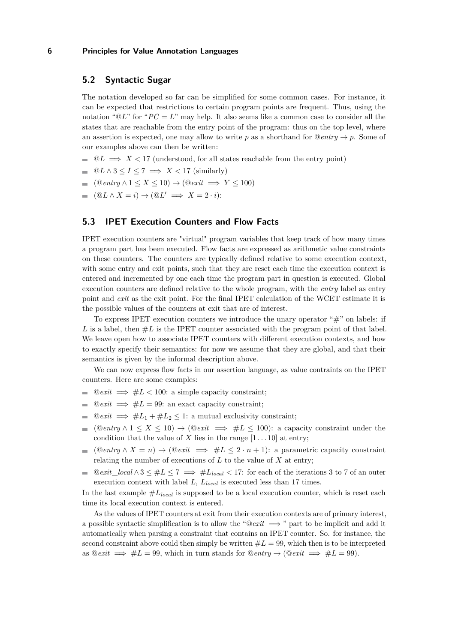## <span id="page-5-0"></span>**5.2 Syntactic Sugar**

The notation developed so far can be simplified for some common cases. For instance, it can be expected that restrictions to certain program points are frequent. Thus, using the notation " $@L$ " for " $PC = L$ " may help. It also seems like a common case to consider all the states that are reachable from the entry point of the program: thus on the top level, where an assertion is expected, one may allow to write p as a shorthand for  $@entry \rightarrow p$ . Some of our examples above can then be written:

- $\Box$   $\mathbb{Q}L \implies X < 17$  (understood, for all states reachable from the entry point)
- $\blacksquare$   $@L \wedge 3 \leq I \leq 7 \implies X < 17$  (similarly)
- $\blacksquare$  (@*entry* ∧ 1 ≤ *X* ≤ 10) → (@*exit*  $\Longrightarrow$  *Y* ≤ 100)
- $(\mathbb{Q}L \wedge X = i) \rightarrow (\mathbb{Q}L' \implies X = 2 \cdot i)$ :

# **5.3 IPET Execution Counters and Flow Facts**

IPET execution counters are "virtual" program variables that keep track of how many times a program part has been executed. Flow facts are expressed as arithmetic value constraints on these counters. The counters are typically defined relative to some execution context, with some entry and exit points, such that they are reset each time the execution context is entered and incremented by one each time the program part in question is executed. Global execution counters are defined relative to the whole program, with the *entry* label as entry point and *exit* as the exit point. For the final IPET calculation of the WCET estimate it is the possible values of the counters at exit that are of interest.

To express IPET execution counters we introduce the unary operator " $\#$ " on labels: if L is a label, then  $#L$  is the IPET counter associated with the program point of that label. We leave open how to associate IPET counters with different execution contexts, and how to exactly specify their semantics: for now we assume that they are global, and that their semantics is given by the informal description above.

We can now express flow facts in our assertion language, as value contraints on the IPET counters. Here are some examples:

- @*exit* =⇒ #*L <* 100: a simple capacity constraint;
- $@exit \implies #L = 99$ : an exact capacity constraint;
- $@exit \implies #L_1 + #L_2 \leq 1$ : a mutual exclusivity constraint; m.
- $(\mathbb{Q}$ *entry*  $\wedge$  1  $\leq$  *X*  $\leq$  10)  $\rightarrow$   $(\mathbb{Q}$ *exit*  $\implies$   $\#L \leq 100$ : a capacity constraint under the condition that the value of *X* lies in the range  $[1 \dots 10]$  at entry;
- $(\text{Q}$ *entry*  $\wedge X = n) \rightarrow (\text{Q}$ *exit*  $\implies \#L \leq 2 \cdot n + 1$ : a parametric capacity constraint  $\sim$ relating the number of executions of *L* to the value of *X* at entry;
- $@exit\_local \wedge 3 \leq \#L \leq 7 \implies \#L_{local} < 17$ : for each of the iterations 3 to 7 of an outer  $\equiv$ execution context with label *L*, *Llocal* is executed less than 17 times.

In the last example  $\#L_{local}$  is supposed to be a local execution counter, which is reset each time its local execution context is entered.

As the values of IPET counters at exit from their execution contexts are of primary interest, a possible syntactic simplification is to allow the " $@exit \implies$ " part to be implicit and add it automatically when parsing a constraint that contains an IPET counter. So. for instance, the second constraint above could then simply be written  $\#L = 99$ , which then is to be interpreted as  $@exit \implies #L = 99$ , which in turn stands for  $@entry \rightarrow @exit \implies #L = 99)$ .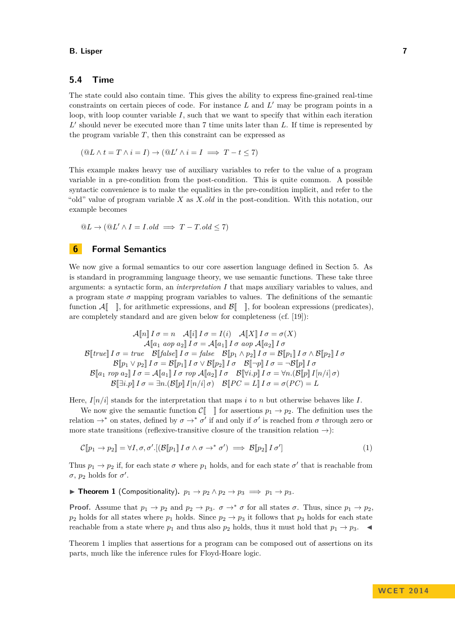## **5.4 Time**

The state could also contain time. This gives the ability to express fine-grained real-time constraints on certain pieces of code. For instance  $L$  and  $L'$  may be program points in a loop, with loop counter variable *I*, such that we want to specify that within each iteration L' should never be executed more than 7 time units later than L. If time is represented by the program variable  $T$ , then this constraint can be expressed as

$$
(\mathbb{Q}L \wedge t = T \wedge i = I) \rightarrow (\mathbb{Q}L' \wedge i = I \implies T - t \le 7)
$$

This example makes heavy use of auxiliary variables to refer to the value of a program variable in a pre-condition from the post-condition. This is quite common. A possible syntactic convenience is to make the equalities in the pre-condition implicit, and refer to the "old" value of program variable *X* as *X.old* in the post-condition. With this notation, our example becomes

$$
@L \to (@L' \land I = I. old \implies T - T. old \le 7)
$$

## <span id="page-6-0"></span>**6 Formal Semantics**

We now give a formal semantics to our core assertion language defined in Section [5.](#page-3-0) As is standard in programming language theory, we use semantic functions. These take three arguments: a syntactic form, an *interpretation I* that maps auxiliary variables to values, and a program state  $\sigma$  mapping program variables to values. The definitions of the semantic function  $\mathcal{A}[\ ]$ , for arithmetic expressions, and  $\mathcal{B}[\ ]$ , for boolean expressions (predicates). are completely standard and are given below for completeness (cf. [\[19\]](#page-9-11)):

$$
\mathcal{A}[\![n]\!] \ I\ \sigma = n \quad \mathcal{A}[\![i]\!] \ I\ \sigma = I(i) \quad \mathcal{A}[\![X]\!] \ I\ \sigma = \sigma(X)
$$

$$
\mathcal{A}[\![a_1 \text{ aop } a_2]\!] \ I\ \sigma = \mathcal{A}[\![a_1]\!] \ I\ \sigma \ \text{aop } \mathcal{A}[\![a_2]\!] \ I\ \sigma
$$

$$
\mathcal{B}[\![true]\!] \ I\ \sigma = true \quad \mathcal{B}[\![false]\!] \ I\ \sigma = false \quad \mathcal{B}[\![p_1 \wedge p_2]\!] \ I\ \sigma = \mathcal{B}[\![p_1]\!] \ I\ \sigma \wedge \mathcal{B}[\![p_2]\!] \ I\ \sigma
$$

$$
\mathcal{B}[\![p_1 \vee p_2]\!] \ I\ \sigma = \mathcal{B}[\![p_1]\!] \ I\ \sigma \vee \mathcal{B}[\![p_2]\!] \ I\ \sigma \quad \mathcal{B}[\![\neg p]\!] \ I\ \sigma = \neg \mathcal{B}[\![p]\!] \ I\ \sigma
$$

$$
\mathcal{B}[\![a_1 \text{ rop } a_2]\!] \ I\ \sigma = \mathcal{A}[\![a_1]\!] \ I\ \sigma \ \text{rop } \mathcal{A}[\![a_2]\!] \ I\ \sigma \quad \mathcal{B}[\![\forall i, p]\!] \ I\ \sigma = \forall n. (\mathcal{B}[\![p]\!] \ I[n/i]\!] \sigma)
$$

$$
\mathcal{B}[\![\exists i, p]\!] \ I\ \sigma = \exists n. (\mathcal{B}[\![p]\!] \ I[n/i]\!] \sigma) \quad \mathcal{B}[\![PC = L]\!] \ I\ \sigma = \sigma(PC) = L
$$

Here,  $I[n/i]$  stands for the interpretation that maps *i* to *n* but otherwise behaves like *I*.

We now give the semantic function  $\mathcal{C}[\Box]$  for assertions  $p_1 \rightarrow p_2$ . The definition uses the relation  $\rightarrow^*$  on states, defined by  $\sigma \rightarrow^* \sigma'$  if and only if  $\sigma'$  is reached from  $\sigma$  through zero or more state transitions (reflexive-transitive closure of the transition relation  $\rightarrow$ ):

<span id="page-6-2"></span>
$$
\mathcal{C}[\![p_1 \to p_2]\!] = \forall I, \sigma, \sigma'.[(\mathcal{B}[\![p_1]\!] \, I \, \sigma \wedge \sigma \to^* \sigma') \implies \mathcal{B}[\![p_2]\!] \, I \, \sigma'] \tag{1}
$$

Thus  $p_1 \to p_2$  if, for each state  $\sigma$  where  $p_1$  holds, and for each state  $\sigma'$  that is reachable from  $\sigma$ ,  $p_2$  holds for  $\sigma'$ .

<span id="page-6-1"></span>▶ **Theorem 1** (Compositionality).  $p_1 \rightarrow p_2 \land p_2 \rightarrow p_3 \implies p_1 \rightarrow p_3$ .

**Proof.** Assume that  $p_1 \rightarrow p_2$  and  $p_2 \rightarrow p_3$ .  $\sigma \rightarrow^* \sigma$  for all states  $\sigma$ . Thus, since  $p_1 \rightarrow p_2$ .  $p_2$  holds for all states where  $p_1$  holds. Since  $p_2 \rightarrow p_3$  it follows that  $p_3$  holds for each state reachable from a state where  $p_1$  and thus also  $p_2$  holds, thus it must hold that  $p_1 \rightarrow p_3$ .

Theorem [1](#page-6-1) implies that assertions for a program can be composed out of assertions on its parts, much like the inference rules for Floyd-Hoare logic.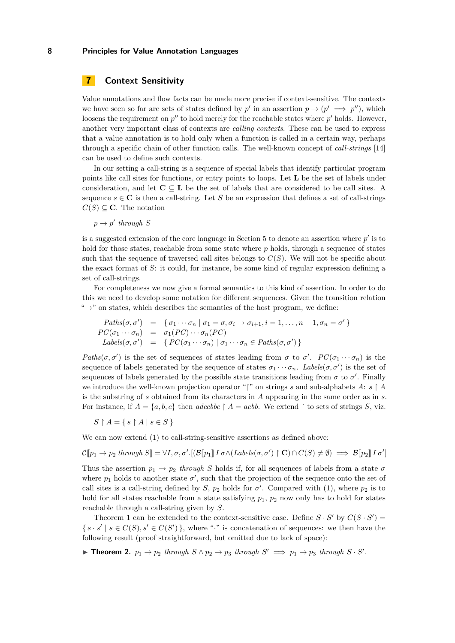# <span id="page-7-0"></span>**7 Context Sensitivity**

Value annotations and flow facts can be made more precise if context-sensitive. The contexts we have seen so far are sets of states defined by  $p'$  in an assertion  $p \to (p' \implies p'')$ , which loosens the requirement on  $p''$  to hold merely for the reachable states where  $p'$  holds. However, another very important class of contexts are *calling contexts*. These can be used to express that a value annotation is to hold only when a function is called in a certain way, perhaps through a specific chain of other function calls. The well-known concept of *call-strings* [\[14\]](#page-9-12) can be used to define such contexts.

In our setting a call-string is a sequence of special labels that identify particular program points like call sites for functions, or entry points to loops. Let **L** be the set of labels under consideration, and let  $C \subseteq L$  be the set of labels that are considered to be call sites. A sequence  $s \in \mathbb{C}$  is then a call-string. Let S be an expression that defines a set of call-strings  $C(S) \subseteq \mathbb{C}$ . The notation

 $p \rightarrow p'$  through *S* 

is a suggested extension of the core language in Section [5](#page-3-0) to denote an assertion where  $p'$  is to hold for those states, reachable from some state where *p* holds, through a sequence of states such that the sequence of traversed call sites belongs to  $C(S)$ . We will not be specific about the exact format of *S*: it could, for instance, be some kind of regular expression defining a set of call-strings.

For completeness we now give a formal semantics to this kind of assertion. In order to do this we need to develop some notation for different sequences. Given the transition relation  $\rightarrow$ " on states, which describes the semantics of the host program, we define:

$$
Paths(\sigma, \sigma') = \{\sigma_1 \cdots \sigma_n | \sigma_1 = \sigma, \sigma_i \rightarrow \sigma_{i+1}, i = 1, \ldots, n-1, \sigma_n = \sigma'\}
$$
  
\n
$$
PC(\sigma_1 \cdots \sigma_n) = \sigma_1(PC) \cdots \sigma_n(PC)
$$
  
\n
$$
Labels(\sigma, \sigma') = \{ PC(\sigma_1 \cdots \sigma_n) | \sigma_1 \cdots \sigma_n \in Paths(\sigma, \sigma') \}
$$

*Paths*( $\sigma$ , $\sigma'$ ) is the set of sequences of states leading from  $\sigma$  to  $\sigma'$ .  $PC(\sigma_1 \cdots \sigma_n)$  is the sequence of labels generated by the sequence of states  $\sigma_1 \cdots \sigma_n$ . *Labels*( $\sigma$ , $\sigma'$ ) is the set of sequences of labels generated by the possible state transitions leading from  $\sigma$  to  $\sigma'$ . Finally we introduce the well-known projection operator "" on strings *s* and sub-alphabets *A*:  $s \restriction A$ is the substring of *s* obtained from its characters in *A* appearing in the same order as in *s*. For instance, if  $A = \{a, b, c\}$  then *adecbbe*  $\upharpoonright A = acbb$ . We extend  $\upharpoonright$  to sets of strings *S*, viz.

 $S \upharpoonright A = \{ s \upharpoonright A \mid s \in S \}$ 

We can now extend [\(1\)](#page-6-2) to call-string-sensitive assertions as defined above:

 $\mathcal{C}[\![p_1 \to p_2 \text{ through } S]\!] = \forall I, \sigma, \sigma'.[(\mathcal{B}[\![p_1]\!]\text{ for } I(\mathcal{L}\text{ and } S(\sigma, \sigma')\restriction \mathbf{C})\cap C(S) \neq \emptyset) \implies \mathcal{B}[\![p_2]\!]\text{ for } I(\sigma')$ 

Thus the assertion  $p_1 \rightarrow p_2$  *through S* holds if, for all sequences of labels from a state  $\sigma$ where  $p_1$  holds to another state  $\sigma'$ , such that the projection of the sequence onto the set of call sites is a call-string defined by *S*,  $p_2$  holds for  $\sigma'$ . Compared with [\(1\)](#page-6-2), where  $p_2$  is to hold for all states reachable from a state satisfying  $p_1$ ,  $p_2$  now only has to hold for states reachable through a call-string given by *S*.

Theorem [1](#page-6-1) can be extended to the context-sensitive case. Define  $S \cdot S'$  by  $C(S \cdot S')$  =  $\{ s \cdot s' \mid s \in C(S), s' \in C(S') \},$  where "·" is concatenation of sequences: we then have the following result (proof straightforward, but omitted due to lack of space):

▶ **Theorem 2.**  $p_1 \rightarrow p_2$  *through*  $S \land p_2 \rightarrow p_3$  *through*  $S' \implies p_1 \rightarrow p_3$  *through*  $S \cdot S'$ *.*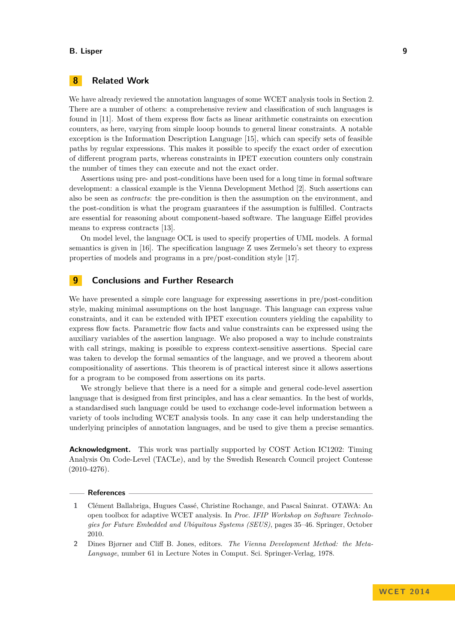# **8 Related Work**

We have already reviewed the annotation languages of some WCET analysis tools in Section [2.](#page-1-1) There are a number of others: a comprehensive review and classification of such languages is found in [\[11\]](#page-9-13). Most of them express flow facts as linear arithmetic constraints on execution counters, as here, varying from simple looop bounds to general linear constraints. A notable exception is the Information Description Language [\[15\]](#page-9-14), which can specify sets of feasible paths by regular expressions. This makes it possible to specify the exact order of execution of different program parts, whereas constraints in IPET execution counters only constrain the number of times they can execute and not the exact order.

Assertions using pre- and post-conditions have been used for a long time in formal software development: a classical example is the Vienna Development Method [\[2\]](#page-8-1). Such assertions can also be seen as *contracts*: the pre-condition is then the assumption on the environment, and the post-condition is what the program guarantees if the assumption is fulfilled. Contracts are essential for reasoning about component-based software. The language Eiffel provides means to express contracts [\[13\]](#page-9-15).

On model level, the language OCL is used to specify properties of UML models. A formal semantics is given in [\[16\]](#page-9-16). The specification language Z uses Zermelo's set theory to express properties of models and programs in a pre/post-condition style [\[17\]](#page-9-17).

## **9 Conclusions and Further Research**

We have presented a simple core language for expressing assertions in pre/post-condition style, making minimal assumptions on the host language. This language can express value constraints, and it can be extended with IPET execution counters yielding the capability to express flow facts. Parametric flow facts and value constraints can be expressed using the auxiliary variables of the assertion language. We also proposed a way to include constraints with call strings, making is possible to express context-sensitive assertions. Special care was taken to develop the formal semantics of the language, and we proved a theorem about compositionality of assertions. This theorem is of practical interest since it allows assertions for a program to be composed from assertions on its parts.

We strongly believe that there is a need for a simple and general code-level assertion language that is designed from first principles, and has a clear semantics. In the best of worlds, a standardised such language could be used to exchange code-level information between a variety of tools including WCET analysis tools. In any case it can help understanding the underlying principles of annotation languages, and be used to give them a precise semantics.

**Acknowledgment.** This work was partially supported by COST Action IC1202: Timing Analysis On Code-Level (TACLe), and by the Swedish Research Council project Contesse  $(2010-4276)$ .

#### **References**

- <span id="page-8-0"></span>**1** Clément Ballabriga, Hugues Cassé, Christine Rochange, and Pascal Sainrat. OTAWA: An open toolbox for adaptive WCET analysis. In *Proc. IFIP Workshop on Software Technologies for Future Embedded and Ubiquitous Systems (SEUS)*, pages 35–46. Springer, October 2010.
- <span id="page-8-1"></span>**2** Dines Bjørner and Cliff B. Jones, editors. *The Vienna Development Method: the Meta-Language*, number 61 in Lecture Notes in Comput. Sci. Springer-Verlag, 1978.